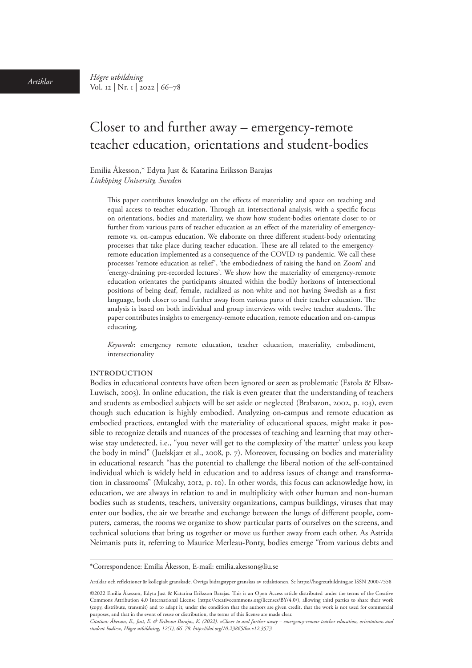*Artiklar Högre utbildning*  Vol. 12 | Nr. 1 | 2022 | 66–78

# Closer to and further away – emergency-remote teacher education, orientations and student-bodies

Emilia Åkesson,\* Edyta Just & Katarina Eriksson Barajas *Linköping University, Sweden*

This paper contributes knowledge on the effects of materiality and space on teaching and equal access to teacher education. Through an intersectional analysis, with a specific focus on orientations, bodies and materiality, we show how student-bodies orientate closer to or further from various parts of teacher education as an effect of the materiality of emergencyremote vs. on-campus education. We elaborate on three different student-body orientating processes that take place during teacher education. These are all related to the emergencyremote education implemented as a consequence of the COVID-19 pandemic. We call these processes 'remote education as relief', 'the embodiedness of raising the hand on Zoom' and 'energy-draining pre-recorded lectures'. We show how the materiality of emergency-remote education orientates the participants situated within the bodily horizons of intersectional positions of being deaf, female, racialized as non-white and not having Swedish as a first language, both closer to and further away from various parts of their teacher education. The analysis is based on both individual and group interviews with twelve teacher students. The paper contributes insights to emergency-remote education, remote education and on-campus educating.

*Keywords*: emergency remote education, teacher education, materiality, embodiment, intersectionality

#### **INTRODUCTION**

Bodies in educational contexts have often been ignored or seen as problematic (Estola & Elbaz-Luwisch, 2003). In online education, the risk is even greater that the understanding of teachers and students as embodied subjects will be set aside or neglected (Brabazon, 2002, p. 103), even though such education is highly embodied. Analyzing on-campus and remote education as embodied practices, entangled with the materiality of educational spaces, might make it possible to recognize details and nuances of the processes of teaching and learning that may otherwise stay undetected, i.e., "you never will get to the complexity of 'the matter' unless you keep the body in mind" (Juelskjær et al., 2008, p. 7). Moreover, focussing on bodies and materiality in educational research "has the potential to challenge the liberal notion of the self-contained individual which is widely held in education and to address issues of change and transformation in classrooms" (Mulcahy, 2012, p. 10). In other words, this focus can acknowledge how, in education, we are always in relation to and in multiplicity with other human and non-human bodies such as students, teachers, university organizations, campus buildings, viruses that may enter our bodies, the air we breathe and exchange between the lungs of different people, computers, cameras, the rooms we organize to show particular parts of ourselves on the screens, and technical solutions that bring us together or move us further away from each other. As Astrida Neimanis puts it, referring to Maurice Merleau-Ponty, bodies emerge "from various debts and

Artiklar och reflektioner är kollegialt granskade. Övriga bidragstyper granskas av redaktionen. Se https://hogreutbildning.se ISSN 2000-7558

<sup>\*</sup>Correspondence: Emilia Åkesson, E-mail: [emilia.akesson@liu.se](mailto:emilia.akesson@liu.se)

<sup>©2022</sup> Emilia Åkesson, Edyta Just & Katarina Eriksson Barajas. This is an Open Access article distributed under the terms of the Creative Commons Attribution 4.0 International License (https://creativecommons.org/licenses/BY/4.0/), allowing third parties to share their work (copy, distribute, transmit) and to adapt it, under the condition that the authors are given credit, that the work is not used for commercial purposes, and that in the event of reuse or distribution, the terms of this license are made clear.

*Citation: Åkesson, E., Just, E. & Eriksson Barajas, K. (2022). «Closer to and further away – emergency-remote teacher education, orientations and student-bodies», Högre utbildning, 12(1), 66–78. [https://doi.org/10.23865/hu.v12.3](https://doi.org/10.23865/hu.v12.3573)573*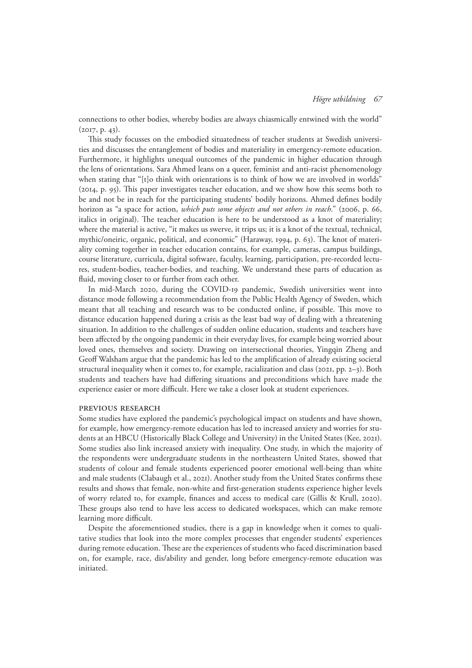connections to other bodies, whereby bodies are always chiasmically entwined with the world" (2017, p. 43).

This study focusses on the embodied situatedness of teacher students at Swedish universities and discusses the entanglement of bodies and materiality in emergency-remote education. Furthermore, it highlights unequal outcomes of the pandemic in higher education through the lens of orientations. Sara Ahmed leans on a queer, feminist and anti-racist phenomenology when stating that "[t]o think with orientations is to think of how we are involved in worlds" (2014, p. 95). This paper investigates teacher education, and we show how this seems both to be and not be in reach for the participating students' bodily horizons. Ahmed defines bodily horizon as "a space for action, *which puts some objects and not others in reach*." (2006, p. 66, italics in original). The teacher education is here to be understood as a knot of materiality; where the material is active, "it makes us swerve, it trips us; it is a knot of the textual, technical, mythic/oneiric, organic, political, and economic" (Haraway, 1994, p. 63). The knot of materiality coming together in teacher education contains, for example, cameras, campus buildings, course literature, curricula, digital software, faculty, learning, participation, pre-recorded lectures, student-bodies, teacher-bodies, and teaching. We understand these parts of education as fluid, moving closer to or further from each other.

In mid-March 2020, during the COVID-19 pandemic, Swedish universities went into distance mode following a recommendation from the Public Health Agency of Sweden, which meant that all teaching and research was to be conducted online, if possible. This move to distance education happened during a crisis as the least bad way of dealing with a threatening situation. In addition to the challenges of sudden online education, students and teachers have been affected by the ongoing pandemic in their everyday lives, for example being worried about loved ones, themselves and society. Drawing on intersectional theories, Yingqin Zheng and Geoff Walsham argue that the pandemic has led to the amplification of already existing societal structural inequality when it comes to, for example, racialization and class (2021, pp. 2–3). Both students and teachers have had differing situations and preconditions which have made the experience easier or more difficult. Here we take a closer look at student experiences.

#### Previous research

Some studies have explored the pandemic's psychological impact on students and have shown, for example, how emergency-remote education has led to increased anxiety and worries for students at an HBCU (Historically Black College and University) in the United States (Kee, 2021). Some studies also link increased anxiety with inequality. One study, in which the majority of the respondents were undergraduate students in the northeastern United States, showed that students of colour and female students experienced poorer emotional well-being than white and male students (Clabaugh et al., 2021). Another study from the United States confirms these results and shows that female, non-white and first-generation students experience higher levels of worry related to, for example, finances and access to medical care (Gillis & Krull, 2020). These groups also tend to have less access to dedicated workspaces, which can make remote learning more difficult.

Despite the aforementioned studies, there is a gap in knowledge when it comes to qualitative studies that look into the more complex processes that engender students' experiences during remote education. These are the experiences of students who faced discrimination based on, for example, race, dis/ability and gender, long before emergency-remote education was initiated.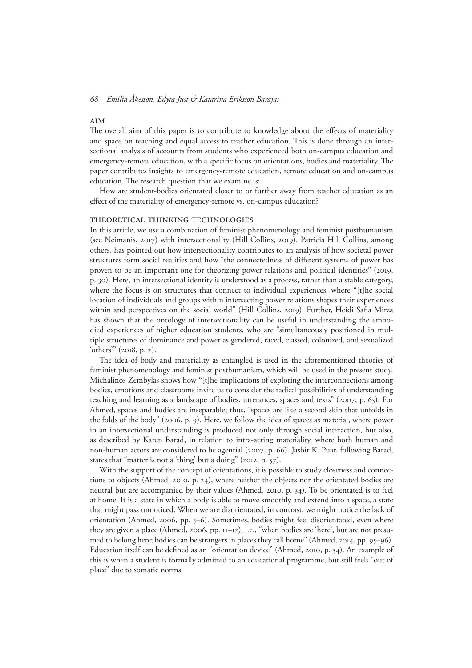#### AIM

The overall aim of this paper is to contribute to knowledge about the effects of materiality and space on teaching and equal access to teacher education. This is done through an intersectional analysis of accounts from students who experienced both on-campus education and emergency-remote education, with a specific focus on orientations, bodies and materiality. The paper contributes insights to emergency-remote education, remote education and on-campus education. The research question that we examine is:

How are student-bodies orientated closer to or further away from teacher education as an effect of the materiality of emergency-remote vs. on-campus education?

### Theoretical thinking technologies

In this article, we use a combination of feminist phenomenology and feminist posthumanism (see Neimanis, 2017) with intersectionality (Hill Collins, 2019). Patricia Hill Collins, among others, has pointed out how intersectionality contributes to an analysis of how societal power structures form social realities and how "the connectedness of different systems of power has proven to be an important one for theorizing power relations and political identities" (2019, p. 30). Here, an intersectional identity is understood as a process, rather than a stable category, where the focus is on structures that connect to individual experiences, where "[t]he social location of individuals and groups within intersecting power relations shapes their experiences within and perspectives on the social world" (Hill Collins, 2019). Further, Heidi Safia Mirza has shown that the ontology of intersectionality can be useful in understanding the embodied experiences of higher education students, who are "simultaneously positioned in multiple structures of dominance and power as gendered, raced, classed, colonized, and sexualized 'others'" (2018, p. 2).

The idea of body and materiality as entangled is used in the aforementioned theories of feminist phenomenology and feminist posthumanism, which will be used in the present study. Michalinos Zembylas shows how "[t]he implications of exploring the interconnections among bodies, emotions and classrooms invite us to consider the radical possibilities of understanding teaching and learning as a landscape of bodies, utterances, spaces and texts" (2007, p. 65). For Ahmed, spaces and bodies are inseparable; thus, "spaces are like a second skin that unfolds in the folds of the body" (2006, p. 9). Here, we follow the idea of spaces as material, where power in an intersectional understanding is produced not only through social interaction, but also, as described by Karen Barad, in relation to intra-acting materiality, where both human and non-human actors are considered to be agential (2007, p. 66). Jasbir K. Puar, following Barad, states that "matter is not a 'thing' but a doing" (2012, p. 57).

With the support of the concept of orientations, it is possible to study closeness and connections to objects (Ahmed, 2010, p. 24), where neither the objects nor the orientated bodies are neutral but are accompanied by their values (Ahmed, 2010, p. 34). To be orientated is to feel at home. It is a state in which a body is able to move smoothly and extend into a space, a state that might pass unnoticed. When we are disorientated, in contrast, we might notice the lack of orientation (Ahmed, 2006, pp. 5–6). Sometimes, bodies might feel disorientated, even where they are given a place (Ahmed, 2006, pp. 11–12), i.e., "when bodies are 'here', but are not presumed to belong here; bodies can be strangers in places they call home" (Ahmed, 2014, pp. 95–96). Education itself can be defined as an "orientation device" (Ahmed, 2010, p. 54). An example of this is when a student is formally admitted to an educational programme, but still feels "out of place" due to somatic norms.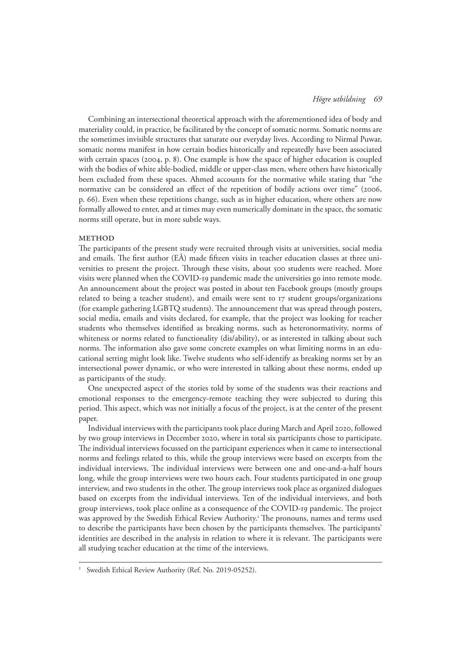Combining an intersectional theoretical approach with the aforementioned idea of body and materiality could, in practice, be facilitated by the concept of somatic norms. Somatic norms are the sometimes invisible structures that saturate our everyday lives. According to Nirmal Puwar, somatic norms manifest in how certain bodies historically and repeatedly have been associated with certain spaces (2004, p. 8). One example is how the space of higher education is coupled with the bodies of white able-bodied, middle or upper-class men, where others have historically been excluded from these spaces. Ahmed accounts for the normative while stating that "the normative can be considered an effect of the repetition of bodily actions over time" (2006, p. 66). Even when these repetitions change, such as in higher education, where others are now formally allowed to enter, and at times may even numerically dominate in the space, the somatic norms still operate, but in more subtle ways.

# **METHOD**

The participants of the present study were recruited through visits at universities, social media and emails. The first author (EÅ) made fifteen visits in teacher education classes at three universities to present the project. Through these visits, about 500 students were reached. More visits were planned when the COVID-19 pandemic made the universities go into remote mode. An announcement about the project was posted in about ten Facebook groups (mostly groups related to being a teacher student), and emails were sent to 17 student groups/organizations (for example gathering LGBTQ students). The announcement that was spread through posters, social media, emails and visits declared, for example, that the project was looking for teacher students who themselves identified as breaking norms, such as heteronormativity, norms of whiteness or norms related to functionality (dis/ability), or as interested in talking about such norms. The information also gave some concrete examples on what limiting norms in an educational setting might look like. Twelve students who self-identify as breaking norms set by an intersectional power dynamic, or who were interested in talking about these norms, ended up as participants of the study.

One unexpected aspect of the stories told by some of the students was their reactions and emotional responses to the emergency-remote teaching they were subjected to during this period. This aspect, which was not initially a focus of the project, is at the center of the present paper.

Individual interviews with the participants took place during March and April 2020, followed by two group interviews in December 2020, where in total six participants chose to participate. The individual interviews focussed on the participant experiences when it came to intersectional norms and feelings related to this, while the group interviews were based on excerpts from the individual interviews. The individual interviews were between one and one-and-a-half hours long, while the group interviews were two hours each. Four students participated in one group interview, and two students in the other. The group interviews took place as organized dialogues based on excerpts from the individual interviews. Ten of the individual interviews, and both group interviews, took place online as a consequence of the COVID-19 pandemic. The project was approved by the Swedish Ethical Review Authority.1 The pronouns, names and terms used to describe the participants have been chosen by the participants themselves. The participants' identities are described in the analysis in relation to where it is relevant. The participants were all studying teacher education at the time of the interviews.

Swedish Ethical Review Authority (Ref. No. 2019-05252).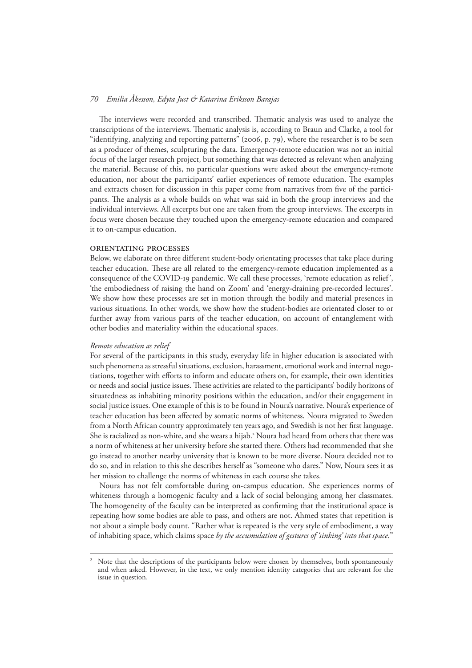The interviews were recorded and transcribed. Thematic analysis was used to analyze the transcriptions of the interviews. Thematic analysis is, according to Braun and Clarke, a tool for "identifying, analyzing and reporting patterns" (2006, p. 79), where the researcher is to be seen as a producer of themes, sculpturing the data. Emergency-remote education was not an initial focus of the larger research project, but something that was detected as relevant when analyzing the material. Because of this, no particular questions were asked about the emergency-remote education, nor about the participants' earlier experiences of remote education. The examples and extracts chosen for discussion in this paper come from narratives from five of the participants. The analysis as a whole builds on what was said in both the group interviews and the individual interviews. All excerpts but one are taken from the group interviews. The excerpts in focus were chosen because they touched upon the emergency-remote education and compared it to on-campus education.

# Orientating processes

Below, we elaborate on three different student-body orientating processes that take place during teacher education. These are all related to the emergency-remote education implemented as a consequence of the COVID-19 pandemic. We call these processes, 'remote education as relief', 'the embodiedness of raising the hand on Zoom' and 'energy-draining pre-recorded lectures'. We show how these processes are set in motion through the bodily and material presences in various situations. In other words, we show how the student-bodies are orientated closer to or further away from various parts of the teacher education, on account of entanglement with other bodies and materiality within the educational spaces.

#### *Remote education as relief*

For several of the participants in this study, everyday life in higher education is associated with such phenomena as stressful situations, exclusion, harassment, emotional work and internal negotiations, together with efforts to inform and educate others on, for example, their own identities or needs and social justice issues. These activities are related to the participants' bodily horizons of situatedness as inhabiting minority positions within the education, and/or their engagement in social justice issues. One example of this is to be found in Noura's narrative. Noura's experience of teacher education has been affected by somatic norms of whiteness. Noura migrated to Sweden from a North African country approximately ten years ago, and Swedish is not her first language. She is racialized as non-white, and she wears a hijab.<sup>2</sup> Noura had heard from others that there was a norm of whiteness at her university before she started there. Others had recommended that she go instead to another nearby university that is known to be more diverse. Noura decided not to do so, and in relation to this she describes herself as "someone who dares." Now, Noura sees it as her mission to challenge the norms of whiteness in each course she takes.

Noura has not felt comfortable during on-campus education. She experiences norms of whiteness through a homogenic faculty and a lack of social belonging among her classmates. The homogeneity of the faculty can be interpreted as confirming that the institutional space is repeating how some bodies are able to pass, and others are not. Ahmed states that repetition is not about a simple body count. "Rather what is repeated is the very style of embodiment, a way of inhabiting space, which claims space *by the accumulation of gestures of 'sinking' into that space.*"

Note that the descriptions of the participants below were chosen by themselves, both spontaneously and when asked. However, in the text, we only mention identity categories that are relevant for the issue in question.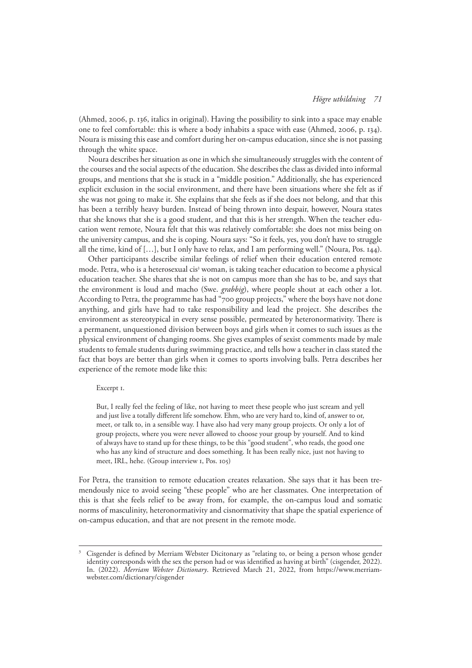(Ahmed, 2006, p. 136, italics in original). Having the possibility to sink into a space may enable one to feel comfortable: this is where a body inhabits a space with ease (Ahmed, 2006, p. 134). Noura is missing this ease and comfort during her on-campus education, since she is not passing through the white space.

Noura describes her situation as one in which she simultaneously struggles with the content of the courses and the social aspects of the education. She describes the class as divided into informal groups, and mentions that she is stuck in a "middle position." Additionally, she has experienced explicit exclusion in the social environment, and there have been situations where she felt as if she was not going to make it. She explains that she feels as if she does not belong, and that this has been a terribly heavy burden. Instead of being thrown into despair, however, Noura states that she knows that she is a good student, and that this is her strength. When the teacher education went remote, Noura felt that this was relatively comfortable: she does not miss being on the university campus, and she is coping. Noura says: "So it feels, yes, you don't have to struggle all the time, kind of […], but I only have to relax, and I am performing well." (Noura, Pos. 144).

Other participants describe similar feelings of relief when their education entered remote mode. Petra, who is a heterosexual cis<sup>3</sup> woman, is taking teacher education to become a physical education teacher. She shares that she is not on campus more than she has to be, and says that the environment is loud and macho (Swe. *grabbig*), where people shout at each other a lot. According to Petra, the programme has had "700 group projects," where the boys have not done anything, and girls have had to take responsibility and lead the project. She describes the environment as stereotypical in every sense possible, permeated by heteronormativity. There is a permanent, unquestioned division between boys and girls when it comes to such issues as the physical environment of changing rooms. She gives examples of sexist comments made by male students to female students during swimming practice, and tells how a teacher in class stated the fact that boys are better than girls when it comes to sports involving balls. Petra describes her experience of the remote mode like this:

## Excerpt 1.

But, I really feel the feeling of like, not having to meet these people who just scream and yell and just live a totally different life somehow. Ehm, who are very hard to, kind of, answer to or, meet, or talk to, in a sensible way. I have also had very many group projects. Or only a lot of group projects, where you were never allowed to choose your group by yourself. And to kind of always have to stand up for these things, to be this "good student", who reads, the good one who has any kind of structure and does something. It has been really nice, just not having to meet, IRL, hehe. (Group interview 1, Pos. 105)

For Petra, the transition to remote education creates relaxation. She says that it has been tremendously nice to avoid seeing "these people" who are her classmates. One interpretation of this is that she feels relief to be away from, for example, the on-campus loud and somatic norms of masculinity, heteronormativity and cisnormativity that shape the spatial experience of on-campus education, and that are not present in the remote mode.

<sup>3</sup> Cisgender is defined by Merriam Webster Dicitonary as "relating to, or being a person whose gender identity corresponds with the sex the person had or was identified as having at birth" (cisgender, 2022). In. (2022). *Merriam Webster Dictionary*. Retrieved March 21, 2022, from [https://www.merriam](https://www.merriam-webster.com/dictionary/cisgender)[webster.com/dictionary/cisgender](https://www.merriam-webster.com/dictionary/cisgender)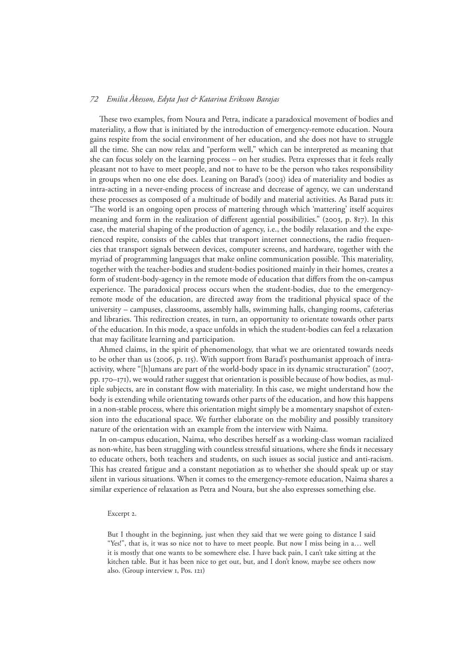These two examples, from Noura and Petra, indicate a paradoxical movement of bodies and materiality, a flow that is initiated by the introduction of emergency-remote education. Noura gains respite from the social environment of her education, and she does not have to struggle all the time. She can now relax and "perform well," which can be interpreted as meaning that she can focus solely on the learning process – on her studies. Petra expresses that it feels really pleasant not to have to meet people, and not to have to be the person who takes responsibility in groups when no one else does. Leaning on Barad's (2003) idea of materiality and bodies as intra-acting in a never-ending process of increase and decrease of agency, we can understand these processes as composed of a multitude of bodily and material activities. As Barad puts it: "The world is an ongoing open process of mattering through which 'mattering' itself acquires meaning and form in the realization of different agential possibilities." (2003, p. 817). In this case, the material shaping of the production of agency, i.e., the bodily relaxation and the experienced respite, consists of the cables that transport internet connections, the radio frequencies that transport signals between devices, computer screens, and hardware, together with the myriad of programming languages that make online communication possible. This materiality, together with the teacher-bodies and student-bodies positioned mainly in their homes, creates a form of student-body-agency in the remote mode of education that differs from the on-campus experience. The paradoxical process occurs when the student-bodies, due to the emergencyremote mode of the education, are directed away from the traditional physical space of the university – campuses, classrooms, assembly halls, swimming halls, changing rooms, cafeterias and libraries. This redirection creates, in turn, an opportunity to orientate towards other parts of the education. In this mode, a space unfolds in which the student-bodies can feel a relaxation that may facilitate learning and participation.

Ahmed claims, in the spirit of phenomenology, that what we are orientated towards needs to be other than us (2006, p. 115). With support from Barad's posthumanist approach of intraactivity, where "[h]umans are part of the world-body space in its dynamic structuration" (2007, pp. 170–171), we would rather suggest that orientation is possible because of how bodies, as multiple subjects, are in constant flow with materiality. In this case, we might understand how the body is extending while orientating towards other parts of the education, and how this happens in a non-stable process, where this orientation might simply be a momentary snapshot of extension into the educational space. We further elaborate on the mobility and possibly transitory nature of the orientation with an example from the interview with Naima.

In on-campus education, Naima, who describes herself as a working-class woman racialized as non-white, has been struggling with countless stressful situations, where she finds it necessary to educate others, both teachers and students, on such issues as social justice and anti-racism. This has created fatigue and a constant negotiation as to whether she should speak up or stay silent in various situations. When it comes to the emergency-remote education, Naima shares a similar experience of relaxation as Petra and Noura, but she also expresses something else.

#### Excerpt 2.

But I thought in the beginning, just when they said that we were going to distance I said "Yes!", that is, it was so nice not to have to meet people. But now I miss being in a… well it is mostly that one wants to be somewhere else. I have back pain, I can't take sitting at the kitchen table. But it has been nice to get out, but, and I don't know, maybe see others now also. (Group interview 1, Pos. 121)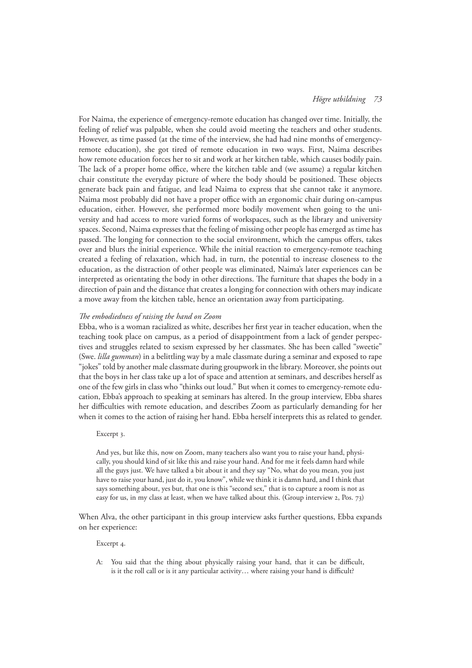For Naima, the experience of emergency-remote education has changed over time. Initially, the feeling of relief was palpable, when she could avoid meeting the teachers and other students. However, as time passed (at the time of the interview, she had had nine months of emergencyremote education), she got tired of remote education in two ways. First, Naima describes how remote education forces her to sit and work at her kitchen table, which causes bodily pain. The lack of a proper home office, where the kitchen table and (we assume) a regular kitchen chair constitute the everyday picture of where the body should be positioned. These objects generate back pain and fatigue, and lead Naima to express that she cannot take it anymore. Naima most probably did not have a proper office with an ergonomic chair during on-campus education, either. However, she performed more bodily movement when going to the university and had access to more varied forms of workspaces, such as the library and university spaces. Second, Naima expresses that the feeling of missing other people has emerged as time has passed. The longing for connection to the social environment, which the campus offers, takes over and blurs the initial experience. While the initial reaction to emergency-remote teaching created a feeling of relaxation, which had, in turn, the potential to increase closeness to the education, as the distraction of other people was eliminated, Naima's later experiences can be interpreted as orientating the body in other directions. The furniture that shapes the body in a direction of pain and the distance that creates a longing for connection with others may indicate a move away from the kitchen table, hence an orientation away from participating.

# *The embodiedness of raising the hand on Zoom*

Ebba, who is a woman racialized as white, describes her first year in teacher education, when the teaching took place on campus, as a period of disappointment from a lack of gender perspectives and struggles related to sexism expressed by her classmates. She has been called "sweetie" (Swe. *lilla gumman*) in a belittling way by a male classmate during a seminar and exposed to rape "jokes" told by another male classmate during groupwork in the library. Moreover, she points out that the boys in her class take up a lot of space and attention at seminars, and describes herself as one of the few girls in class who "thinks out loud." But when it comes to emergency-remote education, Ebba's approach to speaking at seminars has altered. In the group interview, Ebba shares her difficulties with remote education, and describes Zoom as particularly demanding for her when it comes to the action of raising her hand. Ebba herself interprets this as related to gender.

Excerpt 3.

And yes, but like this, now on Zoom, many teachers also want you to raise your hand, physically, you should kind of sit like this and raise your hand. And for me it feels damn hard while all the guys just. We have talked a bit about it and they say "No, what do you mean, you just have to raise your hand, just do it, you know", while we think it is damn hard, and I think that says something about, yes but, that one is this "second sex," that is to capture a room is not as easy for us, in my class at least, when we have talked about this. (Group interview 2, Pos. 73)

When Alva, the other participant in this group interview asks further questions, Ebba expands on her experience:

Excerpt 4.

A: You said that the thing about physically raising your hand, that it can be difficult, is it the roll call or is it any particular activity… where raising your hand is difficult?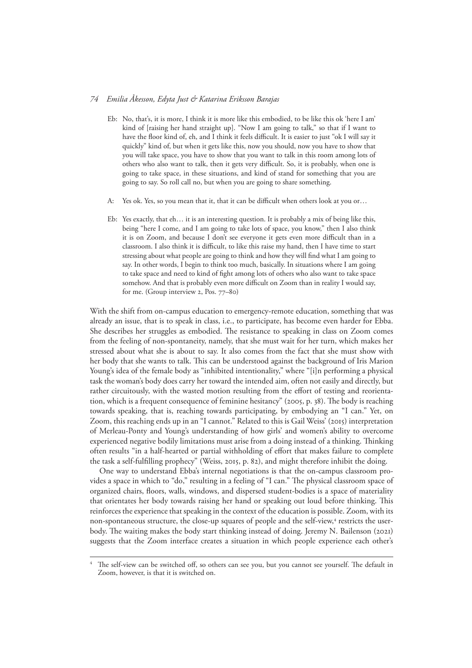- Eb: No, that's, it is more, I think it is more like this embodied, to be like this ok 'here I am' kind of [raising her hand straight up]. "Now I am going to talk," so that if I want to have the floor kind of, eh, and I think it feels difficult. It is easier to just "ok I will say it quickly" kind of, but when it gets like this, now you should, now you have to show that you will take space, you have to show that you want to talk in this room among lots of others who also want to talk, then it gets very difficult. So, it is probably, when one is going to take space, in these situations, and kind of stand for something that you are going to say. So roll call no, but when you are going to share something.
- A: Yes ok. Yes, so you mean that it, that it can be difficult when others look at you or…
- Eb: Yes exactly, that eh… it is an interesting question. It is probably a mix of being like this, being "here I come, and I am going to take lots of space, you know," then I also think it is on Zoom, and because I don't see everyone it gets even more difficult than in a classroom. I also think it is difficult, to like this raise my hand, then I have time to start stressing about what people are going to think and how they will find what I am going to say. In other words, I begin to think too much, basically. In situations where I am going to take space and need to kind of fight among lots of others who also want to take space somehow. And that is probably even more difficult on Zoom than in reality I would say, for me. (Group interview 2, Pos. 77–80)

With the shift from on-campus education to emergency-remote education, something that was already an issue, that is to speak in class, i.e., to participate, has become even harder for Ebba. She describes her struggles as embodied. The resistance to speaking in class on Zoom comes from the feeling of non-spontaneity, namely, that she must wait for her turn, which makes her stressed about what she is about to say. It also comes from the fact that she must show with her body that she wants to talk. This can be understood against the background of Iris Marion Young's idea of the female body as "inhibited intentionality," where "[i]n performing a physical task the woman's body does carry her toward the intended aim, often not easily and directly, but rather circuitously, with the wasted motion resulting from the effort of testing and reorientation, which is a frequent consequence of feminine hesitancy" (2005, p. 38). The body is reaching towards speaking, that is, reaching towards participating, by embodying an "I can." Yet, on Zoom, this reaching ends up in an "I cannot." Related to this is Gail Weiss' (2015) interpretation of Merleau-Ponty and Young's understanding of how girls' and women's ability to overcome experienced negative bodily limitations must arise from a doing instead of a thinking. Thinking often results "in a half-hearted or partial withholding of effort that makes failure to complete the task a self-fulfilling prophecy" (Weiss, 2015, p. 82), and might therefore inhibit the doing.

One way to understand Ebba's internal negotiations is that the on-campus classroom provides a space in which to "do," resulting in a feeling of "I can." The physical classroom space of organized chairs, floors, walls, windows, and dispersed student-bodies is a space of materiality that orientates her body towards raising her hand or speaking out loud before thinking. This reinforces the experience that speaking in the context of the education is possible. Zoom, with its non-spontaneous structure, the close-up squares of people and the self-view,<sup>4</sup> restricts the userbody. The waiting makes the body start thinking instead of doing. Jeremy N. Bailenson (2021) suggests that the Zoom interface creates a situation in which people experience each other's

The self-view can be switched off, so others can see you, but you cannot see yourself. The default in Zoom, however, is that it is switched on.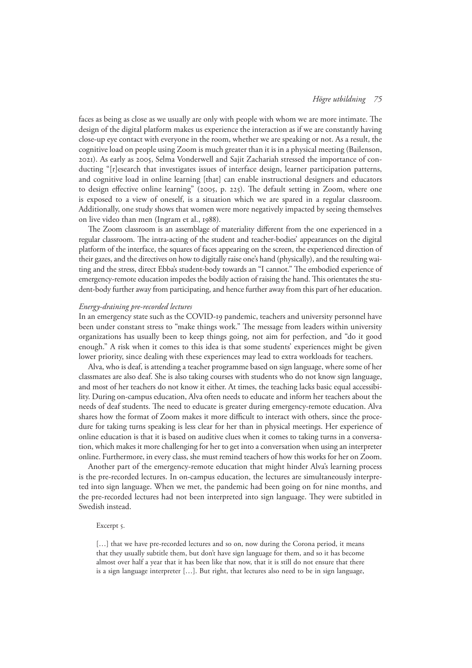faces as being as close as we usually are only with people with whom we are more intimate. The design of the digital platform makes us experience the interaction as if we are constantly having close-up eye contact with everyone in the room, whether we are speaking or not. As a result, the cognitive load on people using Zoom is much greater than it is in a physical meeting (Bailenson, 2021). As early as 2005, Selma Vonderwell and Sajit Zachariah stressed the importance of conducting "[r]esearch that investigates issues of interface design, learner participation patterns, and cognitive load in online learning [that] can enable instructional designers and educators to design effective online learning" (2005, p. 225). The default setting in Zoom, where one is exposed to a view of oneself, is a situation which we are spared in a regular classroom. Additionally, one study shows that women were more negatively impacted by seeing themselves on live video than men (Ingram et al., 1988).

The Zoom classroom is an assemblage of materiality different from the one experienced in a regular classroom. The intra-acting of the student and teacher-bodies' appearances on the digital platform of the interface, the squares of faces appearing on the screen, the experienced direction of their gazes, and the directives on how to digitally raise one's hand (physically), and the resulting waiting and the stress, direct Ebba's student-body towards an "I cannot." The embodied experience of emergency-remote education impedes the bodily action of raising the hand. This orientates the student-body further away from participating, and hence further away from this part of her education.

## *Energy-draining pre-recorded lectures*

In an emergency state such as the COVID-19 pandemic, teachers and university personnel have been under constant stress to "make things work." The message from leaders within university organizations has usually been to keep things going, not aim for perfection, and "do it good enough." A risk when it comes to this idea is that some students' experiences might be given lower priority, since dealing with these experiences may lead to extra workloads for teachers.

Alva, who is deaf, is attending a teacher programme based on sign language, where some of her classmates are also deaf. She is also taking courses with students who do not know sign language, and most of her teachers do not know it either. At times, the teaching lacks basic equal accessibility. During on-campus education, Alva often needs to educate and inform her teachers about the needs of deaf students. The need to educate is greater during emergency-remote education. Alva shares how the format of Zoom makes it more difficult to interact with others, since the procedure for taking turns speaking is less clear for her than in physical meetings. Her experience of online education is that it is based on auditive clues when it comes to taking turns in a conversation, which makes it more challenging for her to get into a conversation when using an interpreter online. Furthermore, in every class, she must remind teachers of how this works for her on Zoom.

Another part of the emergency-remote education that might hinder Alva's learning process is the pre-recorded lectures. In on-campus education, the lectures are simultaneously interpreted into sign language. When we met, the pandemic had been going on for nine months, and the pre-recorded lectures had not been interpreted into sign language. They were subtitled in Swedish instead.

# Excerpt 5.

[...] that we have pre-recorded lectures and so on, now during the Corona period, it means that they usually subtitle them, but don't have sign language for them, and so it has become almost over half a year that it has been like that now, that it is still do not ensure that there is a sign language interpreter […]. But right, that lectures also need to be in sign language,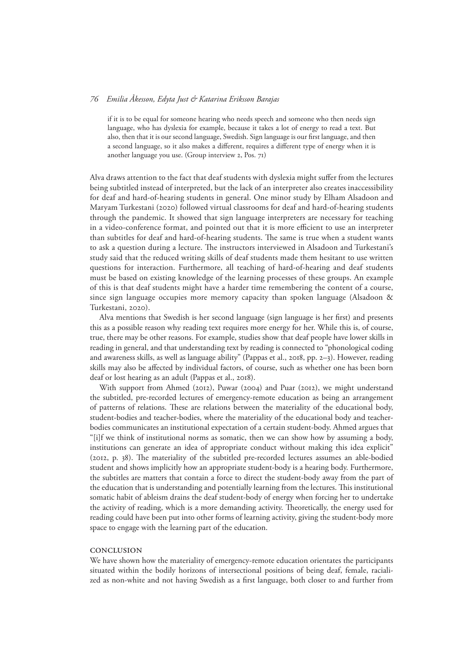if it is to be equal for someone hearing who needs speech and someone who then needs sign language, who has dyslexia for example, because it takes a lot of energy to read a text. But also, then that it is our second language, Swedish. Sign language is our first language, and then a second language, so it also makes a different, requires a different type of energy when it is another language you use. (Group interview 2, Pos. 71)

Alva draws attention to the fact that deaf students with dyslexia might suffer from the lectures being subtitled instead of interpreted, but the lack of an interpreter also creates inaccessibility for deaf and hard-of-hearing students in general. One minor study by Elham Alsadoon and Maryam Turkestani (2020) followed virtual classrooms for deaf and hard-of-hearing students through the pandemic. It showed that sign language interpreters are necessary for teaching in a video-conference format, and pointed out that it is more efficient to use an interpreter than subtitles for deaf and hard-of-hearing students. The same is true when a student wants to ask a question during a lecture. The instructors interviewed in Alsadoon and Turkestani's study said that the reduced writing skills of deaf students made them hesitant to use written questions for interaction. Furthermore, all teaching of hard-of-hearing and deaf students must be based on existing knowledge of the learning processes of these groups. An example of this is that deaf students might have a harder time remembering the content of a course, since sign language occupies more memory capacity than spoken language (Alsadoon & Turkestani, 2020).

Alva mentions that Swedish is her second language (sign language is her first) and presents this as a possible reason why reading text requires more energy for her. While this is, of course, true, there may be other reasons. For example, studies show that deaf people have lower skills in reading in general, and that understanding text by reading is connected to "phonological coding and awareness skills, as well as language ability" (Pappas et al., 2018, pp. 2–3). However, reading skills may also be affected by individual factors, of course, such as whether one has been born deaf or lost hearing as an adult (Pappas et al., 2018).

With support from Ahmed (2012), Puwar (2004) and Puar (2012), we might understand the subtitled, pre-recorded lectures of emergency-remote education as being an arrangement of patterns of relations. These are relations between the materiality of the educational body, student-bodies and teacher-bodies, where the materiality of the educational body and teacherbodies communicates an institutional expectation of a certain student-body. Ahmed argues that "[i]f we think of institutional norms as somatic, then we can show how by assuming a body, institutions can generate an idea of appropriate conduct without making this idea explicit" (2012, p. 38). The materiality of the subtitled pre-recorded lectures assumes an able-bodied student and shows implicitly how an appropriate student-body is a hearing body. Furthermore, the subtitles are matters that contain a force to direct the student-body away from the part of the education that is understanding and potentially learning from the lectures. This institutional somatic habit of ableism drains the deaf student-body of energy when forcing her to undertake the activity of reading, which is a more demanding activity. Theoretically, the energy used for reading could have been put into other forms of learning activity, giving the student-body more space to engage with the learning part of the education.

# **CONCLUSION**

We have shown how the materiality of emergency-remote education orientates the participants situated within the bodily horizons of intersectional positions of being deaf, female, racialized as non-white and not having Swedish as a first language, both closer to and further from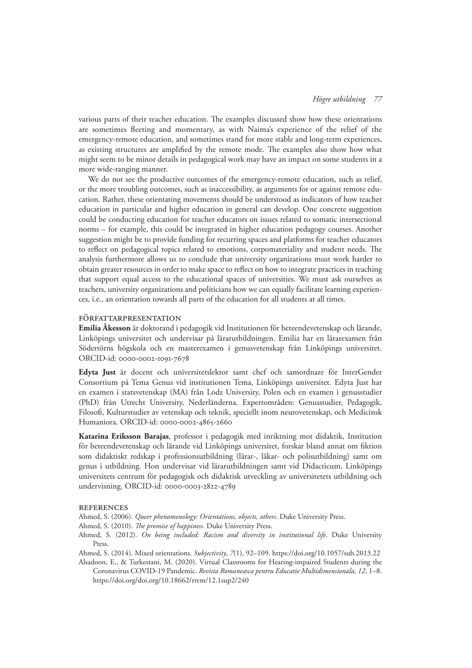various parts of their teacher education. The examples discussed show how these orientations are sometimes fleeting and momentary, as with Naima's experience of the relief of the emergency-remote education, and sometimes stand for more stable and long-term experiences, as existing structures are amplified by the remote mode. The examples also show how what might seem to be minor details in pedagogical work may have an impact on some students in a more wide-ranging manner.

We do not see the productive outcomes of the emergency-remote education, such as relief, or the more troubling outcomes, such as inaccessibility, as arguments for or against remote education. Rather, these orientating movements should be understood as indicators of how teacher education in particular and higher education in general can develop. One concrete suggestion could be conducting education for teacher educators on issues related to somatic intersectional norms – for example, this could be integrated in higher education pedagogy courses. Another suggestion might be to provide funding for recurring spaces and platforms for teacher educators to reflect on pedagogical topics related to emotions, corpomateriality and student needs. The analysis furthermore allows us to conclude that university organizations must work harder to obtain greater resources in order to make space to reflect on how to integrate practices in teaching that support equal access to the educational spaces of universities. We must ask ourselves as teachers, university organizations and politicians how we can equally facilitate learning experiences, i.e., an orientation towards all parts of the education for all students at all times.

# Författarpresentation

**Emilia Åkesson** är doktorand i pedagogik vid Institutionen för beteendevetenskap och lärande, Linköpings universitet och undervisar på lärarutbildningen. Emilia har en lärarexamen från Södertörns högskola och en masterexamen i genusvetenskap från Linköpings universitet. ORCID-id: 0000-0002-1091-7678

**Edyta Just** är docent och universitetslektor samt chef och samordnare för InterGender Consortium på Tema Genus vid institutionen Tema, Linköpings universitet. Edyta Just har en examen i statsvetenskap (MA) från Lodz University, Polen och en examen i genusstudier (PhD) från Utrecht University, Nederländerna. Expertområden: Genusstudier, Pedagogik, Filosofi, Kulturstudier av vetenskap och teknik, speciellt inom neurovetenskap, och Medicinsk Humaniora. ORCID-id: [0000-0002-4865-2660](https://eur01.safelinks.protection.outlook.com/?url=https%3A%2F%2Forcid.org%2F0000-0002-4865-2660&data=04%7C01%7Cemilia.akesson%40liu.se%7C55aa3e320b3e4f890e6a08d987217b3d%7C913f18ec7f264c5fa816784fe9a58edd%7C0%7C0%7C637689400132972898%7CUnknown%7CTWFpbGZsb3d8eyJWIjoiMC4wLjAwMDAiLCJQIjoiV2luMzIiLCJBTiI6Ik1haWwiLCJXVCI6Mn0%3D%7C1000&sdata=nMFgLhbMwGaR6k6aSaq3Z5RcmIPt1uwxf0ho6XuuoqM%3D&reserved=0)

**Katarina Eriksson Barajas**, professor i pedagogik med inriktning mot didaktik, Institution för beteendevetenskap och lärande vid Linköpings universitet, forskar bland annat om fiktion som didaktiskt redskap i professionsutbildning (lärar-, läkar- och polisutbildning) samt om genus i utbildning. Hon undervisar vid lärarutbildningen samt vid Didacticum, Linköpings universitets centrum för pedagogisk och didaktisk utveckling av universitetets utbildning och undervisning. ORCID-id[: 0000-0003-2822-4789](https://eur01.safelinks.protection.outlook.com/?url=http%3A%2F%2Forcid.org%2F0000-0003-2822-4789&data=04%7C01%7Cemilia.akesson%40liu.se%7C712f42616a3646660f5708d98fb44b96%7C913f18ec7f264c5fa816784fe9a58edd%7C0%7C0%7C637698826781246466%7CUnknown%7CTWFpbGZsb3d8eyJWIjoiMC4wLjAwMDAiLCJQIjoiV2luMzIiLCJBTiI6Ik1haWwiLCJXVCI6Mn0%3D%7C1000&sdata=%2FaODoaK1lgDGXyIKmEZtE2JUqIufYhvnBYSk66xxIqU%3D&reserved=0)

# **REFERENCES**

Ahmed, S. (2006). *Queer phenomenology: Orientations, objects, others*. Duke University Press.

- Ahmed, S. (2010). *The promise of happiness*. Duke University Press.
- Ahmed, S. (2012). *On being included: Racism and diversity in institutional life*. Duke University Press.
- Ahmed, S. (2014). Mixed orientations. *Subjectivity*, *7*(1), 92–109.<https://doi.org/10.1057/sub.2013.22>
- Alsadoon, E., & Turkestani, M. (2020). Virtual Classrooms for Hearing-impaired Students during the Coronavirus COVID-19 Pandemic. *Revista Romaneasca pentru Educatie Multidimensionala*, *12*, 1–8. <https://doi.org/doi.org/10.18662/rrem/12.1sup2/240>